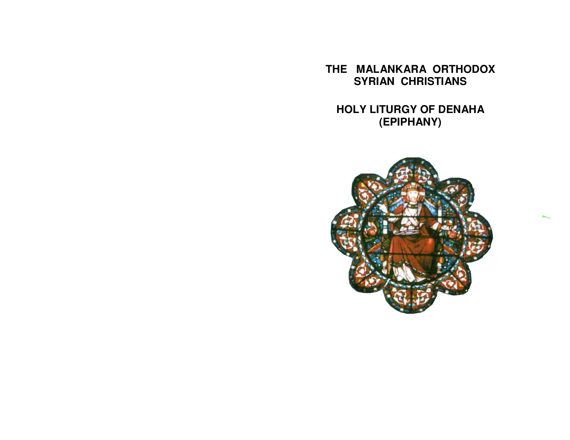**THE MALANKARA ORTHODOX SYRIAN CHRISTIANS** 

**HOLY LITURGY OF DENAHA (EPIPHANY)** 

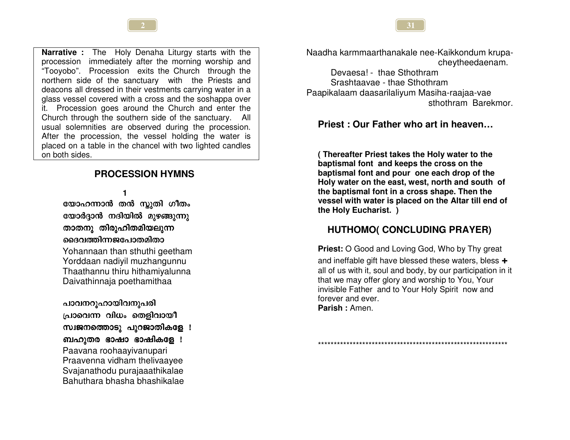**Narrative :** The Holy Denaha Liturgy starts with the procession immediately after the morning worship and "Tooyobo". Procession exits the Church through the northern side of the sanctuary with the Priests and deacons all dressed in their vestments carrying water in a glass vessel covered with a cross and the soshappa over it. Procession goes around the Church and enter the Church through the southern side of the sanctuary. All usual solemnities are observed during the procession. After the procession, the vessel holding the water is placed on a table in the chancel with two lighted candles on both sides.

# **PROCESSION HYMNS**

1

യോഹന്നാൻ തൻ സ്കുതി ഗീതം യോർദ്ദാൻ നദിയിൽ മുഴങ്ങുന്നു താതനു തിരുഹിതമിയലുന്ന ദൈവത്തിന്നജപോതമിതാ

Yohannaan than sthuthi geetham Yorddaan nadiyil muzhangunnu Thaathannu thiru hithamiyalunna Daivathinnaja poethamithaa

പാവനറുഹായിവനുപരി

പ്രാവെന്ന വിധം തെളിവായീ

സ്വജനത്തൊടു പുറജാതികളേ !

ബഹുതര ഭാഷാ ഭാഷികളേ ! Paavana roohaavivanupari Praavenna vidham thelivaayee Svajanathodu purajaaathikalae Bahuthara bhasha bhashikalae Naadha karmmaarthanakale nee-Kaikkondum krupacheytheedaenam.

Devaesa! - thae Sthothram Srashtaavae - thae Sthothram Paapikalaam daasarilaliyum Masiha-raajaa-vae sthothram Barekmor

# Priest: Our Father who art in heaven...

(Thereafter Priest takes the Holy water to the baptismal font and keeps the cross on the baptismal font and pour one each drop of the Holy water on the east, west, north and south of the baptismal font in a cross shape. Then the vessel with water is placed on the Altar till end of the Holy Eucharist. )

# **HUTHOMO( CONCLUDING PRAYER)**

**Priest:** O Good and Loving God, Who by Thy great and ineffable gift have blessed these waters, bless + all of us with it, soul and body, by our participation in it that we may offer glory and worship to You, Your invisible Father and to Your Holy Spirit now and forever and ever. Parish : Amen

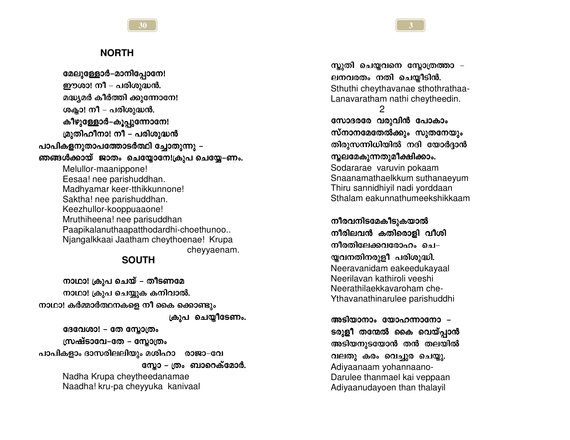#### **NORTH**

മേലുള്ളോർ-മാനിപ്പോനേ! ഈശാ! നീ – പരിശുദ്ധൻ. മദ്ധ്യമർ കീർത്തി ക്കുന്നോനേ! ശക്ലാ! നീ – പരിശുദ്ധൻ. കീഴുള്ളോർ-കുപ്പുന്നോനേ! മ്രുതിഹീനാ! നീ – പരിശുദ്ധൻ പാപികളനുതാപത്തോടർത്ഥി ച്ചോതുന്നു – ഞങ്ങൾക്കായ് ജാതം ചെയ്യോനേ!ക്രുപ ചെയ്യേ–ണം. Melullor-maanippone! Eesaa! nee parishuddhan. Madhyamar keer-tthikkunnone! Saktha! nee parishuddhan. Keezhullor-kooppuaaone! Mruthiheena! nee parisuddhan Paapikalanuthaapatthodardhi-choethunoo... Njangalkkaai Jaatham cheythoenae! Krupa chevvaenam.

30

#### **SOUTH**

നാഥാ! ക്രുപ ചെയ് – തീടണമേ നാഥാ! ക്രുപ ചെയ്യുക കനിവാൽ. നാഥാ! കർമ്മാർത്ഥനകളെ നീ കൈ ക്കൊണ്ടും ക്രൂപ ചെയ്യീടേണം. ദേവേശാ! – തേ സ്ലോത്രം സ്രഷ്ടാവേ–തേ – സ്കോത്രം പാപികളാം ദാസരിലലിയും മശിഹാ രാജാ-വേ സോ – ത്രം ബാറെക്മോർ. Nadha Krupa cheytheedanamae Naadha! kru-pa cheyyuka kanivaal

സ്കുതി ചെയ്യവനെ സ്കോത്രത്താ – ലനവരതം നതി ചെയ്യീടിൻ. Sthuthi cheythavanae sthothrathaa-Lanavaratham nathi cheytheedin.  $\overline{2}$ സോദരരേ വരുവിൻ പോകാം സ്നാനമേതേൽക്കും സുതനേയും തിരുസന്നിധിയിൽ നദി യോർദ്ദാൻ സ്തലമേകുന്നതുമീക്ഷിക്കാം. Sodararae varuvin pokaam Snaanamathaelkkum suthanaeyum Thiru sannidhiyil nadi yorddaan Sthalam eakunnathumeekshikkaam

നീരവനിടമേകീടുകയാൽ നീരിലവൻ കതിരൊളി വീശി നീരതിലേക്കവരോഹം ചെ– യ്തവനതിനരുളീ പരിശുദ്ധി. Neeravanidam eakeedukayaal Neerilavan kathiroli veeshi Neerathilaekkavaroham che-Ythavanathinarulee parishuddhi

അടിയാനാം യോഹന്നാനോ -ടരുളീ തന്മേൽ കൈ വെയ്പ്പാൻ അടിയനുടയോൻ തൻ തലയിൽ വലതു കരം വെച്ചുര ചെയ്യു.

Adiyaanaam yohannaano-Darulee thanmael kai veppaan Adiyaanudayoen than thalayil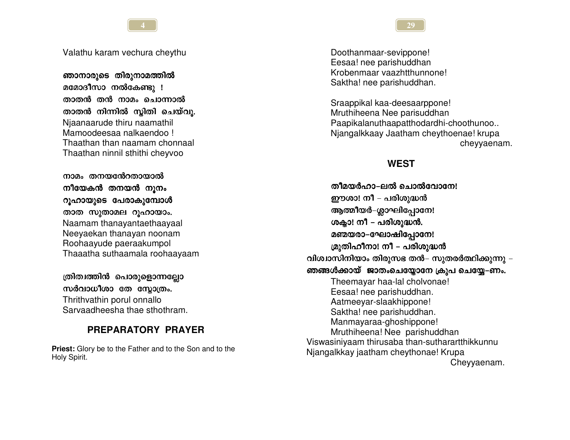Valathu karam vechura cheythu

ഞാനാരുടെ തിരുനാമത്തിൽ മമോദീസാ നൽകേണ്ടു ! താതൻ തൻ നാമം ചൊന്നാൽ താതൻ നിന്നിൽ സ്ലിതി ചെയ്വു. Niaanaarude thiru naamathil Mamoodeesaa nalkaendoo! Thaathan than naamam chonnaal Thaathan ninnil sthithi cheyvoo

നാമം തനയന്റേറതായാൽ നീയേകൻ തനയൻ നൂനം റൂഹായുടെ പേരാകുമ്പോൾ താത സുതാമല റൂഹായാം. Naamam thanayantaethaayaal Neeyaekan thanayan noonam Roohaayude paeraakumpol Thaaatha suthaamala roohaayaam

ത്രിത്വത്തിൻ പൊരുളൊന്നല്ലോ സർവാധീശാ തേ സ്റ്റോത്രം. Thrithvathin porul onnallo

Sarvaadheesha thae sthothram.

# PREPARATORY PRAYER

**Priest:** Glory be to the Father and to the Son and to the Holy Spirit.

Doothanmaar-sevippone! Eesaa! nee parishuddhan Krobenmaar vaazhtthunnone! Saktha! nee parishuddhan.

Sraappikal kaa-deesaarppone! Mruthiheena Nee parisuddhan Paapikalanuthaapatthodardhi-choothunoo... Njangalkkaay Jaatham cheythoenae! krupa cheyyaenam.

### **WEST**

തീമയർഹാ–ലൽ ചൊൽവോന്ദ്രേ ഈശാ! നീ – പരിശുദ്ധൻ ആത്മീയർ–ശ്ലാഘിപ്പോനേ! ശക്ലാ! നീ – പരിശുദ്ധൻ. മണ്മയരാ-ഘോഷിപ്പോനേ! മ്രുതിഹീനാ! നീ – പരിശുദ്ധൻ വിശ്വാസിനിയാം തിരുസഭ തൻ– സുതരർത്ഥിക്കുന്നു – ഞങ്ങൾക്കായ് ജാതംചെയ്യോനേ ക്രുപ ചെയ്യേ–ണം. Theemayar haa-lal cholvonae! Eesaa! nee parishuddhan. Aatmeeyar-slaakhippone! Saktha! nee parishuddhan. Manmayaraa-ghoshippone! Mruthiheena! Nee parishuddhan Viswasiniyaam thirusaba than-sutharartthikkunnu Njangalkkay jaatham cheythonae! Krupa Cheyyaenam.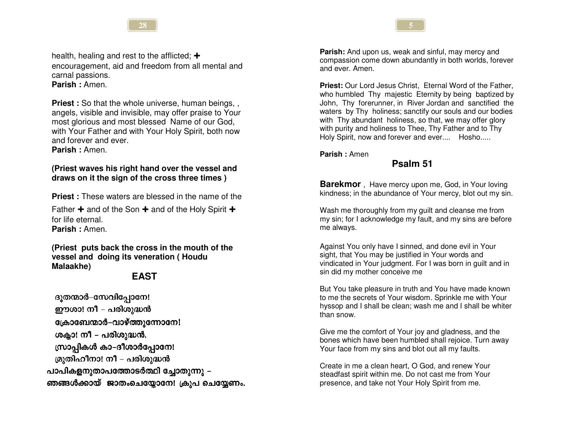

health, healing and rest to the afflicted;  $\div$ encouragement, aid and freedom from all mental and carnal passions. Parish: Amen.

**Priest:** So that the whole universe, human beings, , angels, visible and invisible, may offer praise to Your most glorious and most blessed Name of our God. with Your Father and with Your Holy Spirit, both now and forever and ever. Parish: Amen.

#### (Priest waves his right hand over the vessel and draws on it the sign of the cross three times)

**Priest:** These waters are blessed in the name of the

Father  $\div$  and of the Son  $\div$  and of the Holy Spirit  $\div$ for life eternal. Parish: Amen.

(Priest puts back the cross in the mouth of the vessel and doing its veneration (Houdu Malaakhe)

# **EAST**

ദൂതന്മാർ-സേവിപ്പോനേ! ഈശാ! നീ – പരിശുദ്ധൻ ക്രോബേന്മാർ-വാഴ്ത്തുന്നോനേ! ശക്ലാ! നീ - പരിശുദ്ധൻ. സ്രാപ്പികൾ കാ-ദീശാർപ്പോനേ! മ്രുതിഹീനാ! നീ – പരിശുദ്ധൻ പാപികളനുതാപത്തോടർത്ഥി ച്ചോതുന്നു – ഞങ്ങൾക്കായ് ജാതംചെയ്യോനേ! ക്രുപ ചെയ്യേണം. **Parish:** And upon us, weak and sinful, may mercy and compassion come down abundantly in both worlds, forever and ever Amen

Priest: Our Lord Jesus Christ, Eternal Word of the Father, who humbled Thy majestic Eternity by being baptized by John, Thy forerunner, in River Jordan and sanctified the waters by Thy holiness; sanctify our souls and our bodies with Thy abundant holiness, so that, we may offer glory with purity and holiness to Thee. Thy Father and to Thy Holy Spirit, now and forever and ever.... Hosho.....

Parish: Amen

# Psalm 51

Barekmor, Have mercy upon me, God, in Your loving kindness; in the abundance of Your mercy, blot out my sin.

Wash me thoroughly from my guilt and cleanse me from my sin; for I acknowledge my fault, and my sins are before me always.

Against You only have I sinned, and done evil in Your sight, that You may be justified in Your words and vindicated in Your judgment. For I was born in guilt and in sin did my mother conceive me

But You take pleasure in truth and You have made known to me the secrets of Your wisdom. Sprinkle me with Your hyssop and I shall be clean; wash me and I shall be whiter than snow.

Give me the comfort of Your joy and gladness, and the bones which have been humbled shall rejoice. Turn away Your face from my sins and blot out all my faults.

Create in me a clean heart. O God. and renew Your steadfast spirit within me. Do not cast me from Your presence, and take not Your Holy Spirit from me.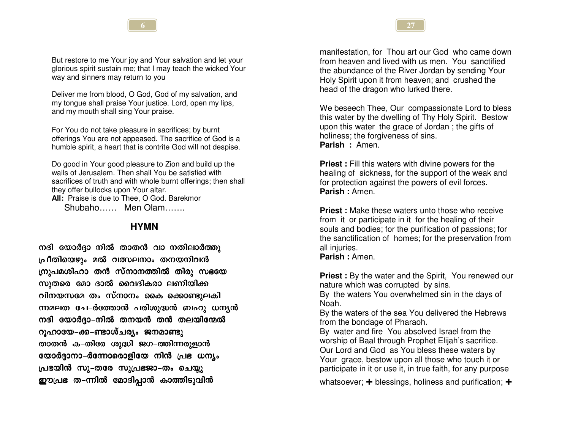

But restore to me Your joy and Your salvation and let your glorious spirit sustain me; that I may teach the wicked Your way and sinners may return to you

Deliver me from blood, O God, God of my salvation, and my tongue shall praise Your justice. Lord, open my lips, and my mouth shall sing Your praise.

For You do not take pleasure in sacrifices; by burnt offerings You are not appeased. The sacrifice of God is a humble spirit, a heart that is contrite God will not despise.

Do good in Your good pleasure to Zion and build up the walls of Jerusalem. Then shall You be satisfied with sacrifices of truth and with whole burnt offerings; then shall they offer bullocks upon Your altar.

All: Praise is due to Thee, O God, Barekmor Shubaho...... Men Olam.......

#### **HYMN**

നദി യോർദ്ദാ-നിൽ താതൻ വാ-നതിലാർത്തു പ്രീതിയെഴും മൽ വത്സലനാം തനയനിവൻ ന്രൂപമശിഹാ തൻ സ്നാനത്തിൽ തിരു സഭയേ സുതരെ മോ–ദാൽ വൈദികരാ–ലണിയിക്ക വിനയസമേ–തം സ്നാനം കൈ–ക്കൊണ്ടുലകി– ന്നമലത ചേ–ർത്തോൻ പരിശുദ്ധൻ ബഹു ധന്യൻ നദി യോർദ്ദാ–നിൽ തനയൻ തൻ തലയിന്മേൽ റുഹായേ–ക്ക–ണ്ടാശ്ചര്യം ജനമാണ്ടു താതൻ ക–തിരേ ശുദ്ധി ജഗ–ത്തിന്നരുളാൻ യോർദ്ദാനാ–ർന്നോരൊളിയേ നിൻ പ്രഭ ധന്യം പ്രഭയിൻ സു–തരേ സുപ്രഭജാ–തം ചെയ്യു ഈപ്രഭ ത-ന്നിൽ മോദിപ്പാൻ കാത്തിടുവിൻ

manifestation, for Thou art our God who came down from heaven and lived with us men. You sanctified the abundance of the River Jordan by sending Your Holy Spirit upon it from heaven; and crushed the head of the dragon who lurked there.

We beseech Thee, Our compassionate Lord to bless this water by the dwelling of Thy Holy Spirit. Bestow upon this water the grace of Jordan; the gifts of holiness; the forgiveness of sins. Parish: Amen.

**Priest:** Fill this waters with divine powers for the healing of sickness, for the support of the weak and for protection against the powers of evil forces. Parish: Amen.

**Priest:** Make these waters unto those who receive from it or participate in it for the healing of their souls and bodies; for the purification of passions; for the sanctification of homes; for the preservation from all injuries. **Parish: Amen.** 

**Priest:** By the water and the Spirit, You renewed our nature which was corrupted by sins.

By the waters You overwhelmed sin in the days of Noah.

By the waters of the sea You delivered the Hebrews from the bondage of Pharaoh.

By water and fire You absolved Israel from the worship of Baal through Prophet Elijah's sacrifice. Our Lord and God as You bless these waters by Your grace, bestow upon all those who touch it or participate in it or use it, in true faith, for any purpose

whatsoever;  $\div$  blessings, holiness and purification;  $\div$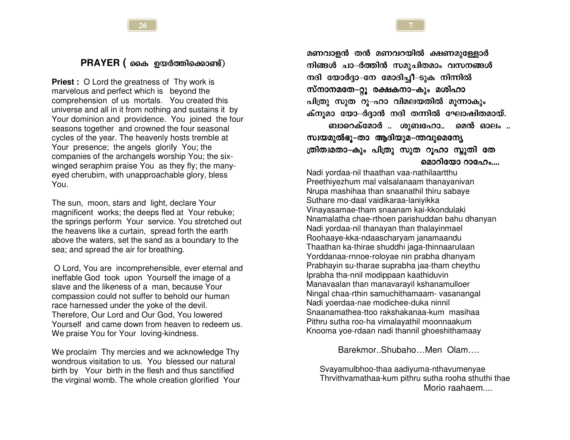#### PRAYER (രെക ഉയർത്തിക്കൊണ്ട്)

**Priest**: O Lord the greatness of Thy work is marvelous and perfect which is beyond the comprehension of us mortals. You created this universe and all in it from nothing and sustains it by Your dominion and providence. You joined the four seasons together and crowned the four seasonal cycles of the year. The heavenly hosts tremble at Your presence; the angels glorify You; the companies of the archangels worship You; the sixwinged seraphim praise You as they fly; the manyeyed cherubim, with unapproachable glory, bless You.

The sun, moon, stars and light, declare Your magnificent works; the deeps fled at Your rebuke; the springs perform Your service. You stretched out the heavens like a curtain, spread forth the earth above the waters, set the sand as a boundary to the sea; and spread the air for breathing.

O Lord, You are incomprehensible, ever eternal and ineffable God took upon Yourself the image of a slave and the likeness of a man, because Your compassion could not suffer to behold our human race harnessed under the yoke of the devil. Therefore, Our Lord and Our God, You lowered Yourself and came down from heaven to redeem us. We praise You for Your loving-kindness.

We proclaim Thy mercies and we acknowledge Thy wondrous visitation to us. You blessed our natural birth by Your birth in the flesh and thus sanctified the virginal womb. The whole creation glorified Your

മണവാളൻ തൻ മണവറയിൽ ക്ഷണമുള്ളോർ നിങ്ങൾ ചാ–ർത്തിൻ സമൂചിതമാം വസനങ്ങൾ നദി യോർദ്ദാ–നേ മോദിച്ചീ–ടുക നിന്നിൽ സ്നാനമതേ–റ്റു രക്ഷകനാ–കും മശിഹാ പിത്രു സൂത റു-ഹാ വിമലയതിൽ മൂന്നാകും ക്നൂമാ യോ–ർദ്ദാൻ നദി തന്നിൽ ഘോഷിതമായ്. ബാറെക്മോർ .. ശുബഹോ.. മെൻ ഓലം ..

സ്വയമുൽഭൂ–താ ആദിയുമ–ന്തവുമെന്യേ ത്രിത്വമതാ–കും പിത്രു സുത റുഹാ സ്കുതി തേ മൊറിയോ റാഹേം....

Nadi yordaa-nil thaathan vaa-nathilaartthu Preethiyezhum mal valsalanaam thanayanivan Nrupa mashihaa than snaanathil thiru sabaye Suthare mo-daal vaidikaraa-laniyikka Vinayasamae-tham snaanam kai-kkondulaki Nnamalatha chae-rthoen parishuddan bahu dhanyan Nadi yordaa-nil thanayan than thalayinmael Roohaave-kka-ndaascharvam janamaandu Thaathan ka-thirae shuddhi jaga-thinnaarulaan Yorddanaa-rnnoe-roloyae nin prabha dhanyam Prabhayin su-tharae suprabha jaa-tham cheythu Iprabha tha-nnil modippaan kaathiduvin Manavaalan than manavarayil kshanamulloer Ningal chaa-rthin samuchithamaam- vasanangal Nadi voerdaa-nae modichee-duka ninnil Snaanamathea-ttoo rakshakanaa-kum masihaa Pithru sutha roo-ha vimalayathil moonnaakum Knooma yoe-rdaan nadi thannil ghoeshithamaay

Barekmor...Shubaho...Men Olam....

Svayamulbhoo-thaa aadiyuma-nthavumenyae Thrvithvamathaa-kum pithru sutha rooha sthuthi thae Morio raahaem....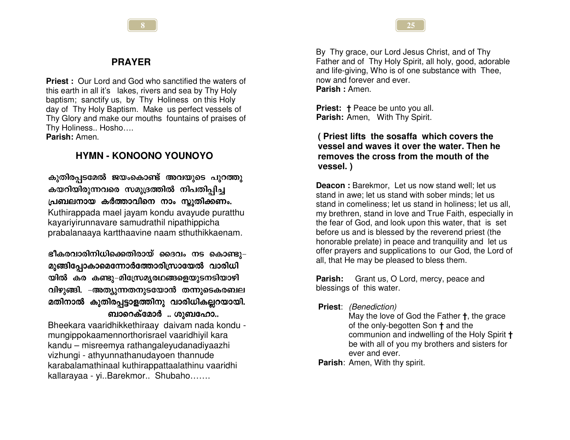### **PRAYER**

**Priest:** Our Lord and God who sanctified the waters of this earth in all it's lakes, rivers and sea by Thy Holy baptism; sanctify us, by Thy Holiness on this Holy day of Thy Holy Baptism. Make us perfect vessels of Thy Glory and make our mouths fountains of praises of Thy Holiness.. Hosho.... Parish: Amen.

# **HYMN - KONOONO YOUNOYO**

കുതിരപ്പടമേൽ ജയംകൊണ്ട് അവയുടെ പുറത്തു കയറിയിരുന്നവരെ സമുദ്രത്തിൽ നിപതിപ്പിച്ച പ്രബലനായ കർത്താവിനെ നാം സ്കുതിക്കണം. Kuthirappada mael jayam kondu avayude puratthu kayariyirunnavare samudrathil nipathippicha prabalanaaya kartthaavine naam sthuthikkaenam.

ഭീകരവാരിനിധിക്കെതിരായ് ദൈവം നട കൊണ്ടു– മുങ്ങിപ്പോകാമെന്നോർത്തോരിസ്രായേൽ വാരിധി യിൽ കര കണ്ടു–മിസ്രേമ്യരഥങ്ങളെയുടനടിയാഴി വിഴുങ്ങി. –അത്യുന്നതനുടയോൻ തന്നുടെകരബല മതിനാൽ കുതിരപ്പട്ടാളത്തിനു വാരിധികല്ലറയായി. ബാറെക്മോർ .. ശുബഹോ..

Bheekara vaaridhikkethiraay daivam nada kondu mungippokaamennorthorisrael vaaridhiyil kara kandu – misreemya rathangaleyudanadiyaazhi vizhungi - athyunnathanudayoen thannude karabalamathinaal kuthirappattaalathinu vaaridhi kallarayaa - yi..Barekmor.. Shubaho.......

By Thy grace, our Lord Jesus Christ, and of Thy Father and of Thy Holy Spirit, all holy, good, adorable and life-giving, Who is of one substance with Thee, now and forever and ever. Parish: Amen.

**Priest:** † Peace be unto you all. Parish: Amen, With Thy Spirit.

(Priest lifts the sosaffa which covers the vessel and waves it over the water. Then he removes the cross from the mouth of the vessel.)

**Deacon:** Barekmor, Let us now stand well; let us stand in awe: let us stand with sober minds: let us stand in comeliness: let us stand in holiness: let us all. my brethren, stand in love and True Faith, especially in the fear of God, and look upon this water, that is set before us and is blessed by the reverend priest (the honorable prelate) in peace and tranguility and let us offer prayers and supplications to our God, the Lord of all, that He may be pleased to bless them.

**Parish:** Grant us, O Lord, mercy, peace and blessings of this water.

**Priest:** *(Benediction)* 

May the love of God the Father **t**, the grace of the only-begotten Son + and the communion and indwelling of the Holy Spirit + be with all of you my brothers and sisters for ever and ever.

**Parish:** Amen, With thy spirit.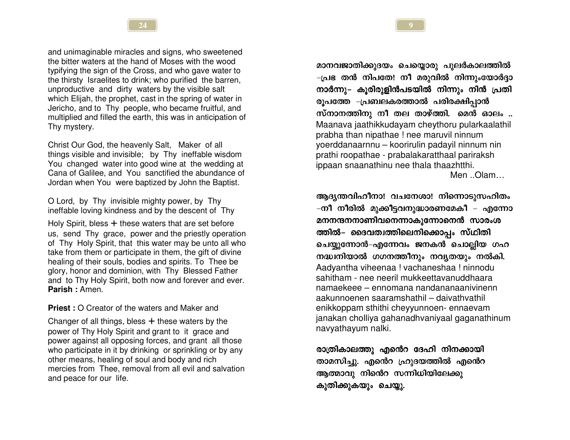and unimaginable miracles and signs, who sweetened the bitter waters at the hand of Moses with the wood typifying the sign of the Cross, and who gave water to the thirsty Israelites to drink; who purified the barren, unproductive and dirty waters by the visible salt which Elijah, the prophet, cast in the spring of water in Jericho, and to Thy people, who became fruitful, and multiplied and filled the earth, this was in anticipation of Thy mystery.

Christ Our God, the heavenly Salt, Maker of all things visible and invisible; by Thy ineffable wisdom You changed water into good wine at the wedding at Cana of Galilee, and You sanctified the abundance of Jordan when You were baptized by John the Baptist.

O Lord, by Thy invisible mighty power, by Thy ineffable loving kindness and by the descent of Thy

Holy Spirit, bless  $+$  these waters that are set before us, send Thy grace, power and the priestly operation of Thy Holy Spirit, that this water may be unto all who take from them or participate in them, the gift of divine healing of their souls, bodies and spirits. To Thee be glory, honor and dominion, with Thy Blessed Father and to Thy Holy Spirit, both now and forever and ever. Parish: Amen.

**Priest: O Creator of the waters and Maker and** 

Changer of all things, bless  $+$  these waters by the power of Thy Holy Spirit and grant to it grace and power against all opposing forces, and grant all those who participate in it by drinking or sprinkling or by any other means, healing of soul and body and rich mercies from Thee, removal from all evil and salvation and peace for our life.

മാനവജാതിക്കുദയം ചെയ്യൊരു പുലർകാലത്തിൽ -പ്രഭ തൻ നിപതേ! നീ മരുവിൽ നിന്നുംയോർദ്ദാ നാർന്നു– കുരിരുളിൻപടയിൽ നിന്നും നിൻ പ്രതി രുപത്തേ –പ്രബലകരത്താൽ പരിരക്ഷിപ്പാൻ സ്നാനത്തിനു നീ തല താഴ്ത്തി. മെൻ ഓലം .. Maanava jaathikkudayam cheythoru pularkaalathil prabha than nipathae ! nee maruvil ninnum yoerddanaarnnu - koorirulin padayil ninnum nin prathi roopathae - prabalakaratthaal pariraksh ippaan snaanathinu nee thala thaazhtthi. Men  $.$  Olam $.$ ..

ആദൃന്തവിഹീനാ! വചനേശാ! നിന്നൊടുസഹിതം –നീ നീരിൽ മുക്കീട്ടവനുദ്ധാരണമേകീ – എന്നോ മനനന്ദനനാണിവനെന്നാകുന്നോനെൻ സാരംശ ത്തിൽ– ദൈവത്വത്തിലെനിക്കൊപ്പം സ്ഥിതി ചെയ്യുന്നോൻ–എന്നേവം ജനകൻ ചൊല്ലിയ ഗഹ നദ്ധ്വനിയാൽ ഗഗനത്തീനും നവൃതയും നൽകി. Aadvantha viheenaa ! vachaneshaa ! ninnodu sahitham - nee neeril mukkeettavanuddhaara namaekeee – ennomana nandananaanivinenn aakunnoenen saaramshathil – daivathvathil enikkoppam sthithi cheyyunnoen- ennaevam janakan cholliya gahanadhyaniyaal gaganathinum navyathayum nalki.

രാത്രികാലത്തു എൻെറ ദേഹി നിനക്കായി താമസിച്ചു. എൻെറ ഹ്രുദയത്തിൽ എൻെറ ആത്മാവു നിൻെറ സന്നിധിയിലേക്കു കുതിക്കുകയും ചെയ്യു.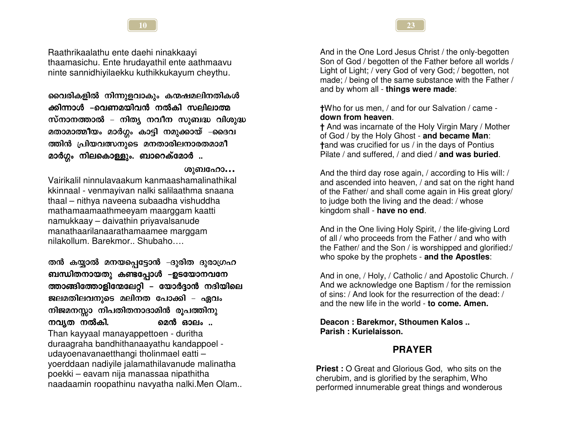10

Raathrikaalathu ente daehi ninakkaayi thaamasichu. Ente hrudayathil ente aathmaavu ninte sannidhiyilaekku kuthikkukayum cheythu.

വൈരികളിൽ നിന്നുളവാകും കന്മഷമലിനതികൾ ക്കിന്നാൾ –വെണമയിവൻ നൽകി സലിലാത്മ സ്നാനത്താൽ – നിത്യ നവീന സുബദ്ധ വിശുദ്ധ മതാമാത്മീയം മാർഗ്ഗം കാട്ടി നമുക്കായ് –ദൈവ ത്തിൻ പ്രിയവത്സനുടെ മനതാരിലനാരതമാമീ മാർഗ്ഗം നിലകൊള്ളും. ബാറെക്മോർ ..

#### ശുബഹോ…

Vairikalil ninnulavaakum kanmaashamalinathikal kkinnaal - venmayivan nalki salilaathma snaana thaal - nithya naveena subaadha vishuddha mathamaamaathmeeyam maarggam kaatti namukkaay - daivathin priyavalsanude manathaarilanaarathamaamee marqqam nilakollum, Barekmor., Shubaho....

തൻ കയ്യാൽ മനയപ്പെട്ടോൻ –ദുരിത ദുരാഗ്രഹ ബന്ധിതനായതു കണ്ടപ്പോൾ –ഉടയോനവനേ ത്താങ്ങിത്തോളിന്മേലേറ്റി – യോർദ്ദാൻ നദിയിലെ ജലമതിലവനുടെ മലിനത പോക്കി – ഏവം നിജമനസ്സാ നിപതിതനാദാമിൻ രൂപത്തിനു നവ്യത നൽകി. മെൻ ഓലം .. Than kayyaal manayappettoen - duritha duraagraha bandhithanaayathu kandappoel udayoenavanaetthangi tholinmael eatti yoerddaan nadiyile jalamathilavanude malinatha poekki – eavam nija manassaa nipathitha naadaamin roopathinu navyatha nalki.Men Olam...

And in the One Lord Jesus Christ / the only-begotten Son of God / begotten of the Father before all worlds / Light of Light; / very God of very God; / begotten, not made; / being of the same substance with the Father / and by whom all - things were made:

+Who for us men, / and for our Salvation / came down from heaven.

† And was incarnate of the Holy Virgin Mary / Mother of God / by the Holy Ghost - and became Man: tand was crucified for us / in the days of Pontius Pilate / and suffered. / and died / and was buried.

And the third day rose again, / according to His will: / and ascended into heaven, / and sat on the right hand of the Father/ and shall come again in His great glory/ to judge both the living and the dead: / whose kingdom shall - have no end.

And in the One living Holy Spirit, / the life-giving Lord of all / who proceeds from the Father / and who with the Father/ and the Son / is worshipped and glorified:/ who spoke by the prophets - and the Apostles:

And in one, / Holy, / Catholic / and Apostolic Church. / And we acknowledge one Baptism / for the remission of sins: / And look for the resurrection of the dead: / and the new life in the world - to come. Amen.

Deacon: Barekmor, Sthoumen Kalos... Parish · Kurielaisson

#### **PRAYER**

**Priest: O Great and Glorious God. who sits on the** cherubim, and is glorified by the seraphim, Who performed innumerable great things and wonderous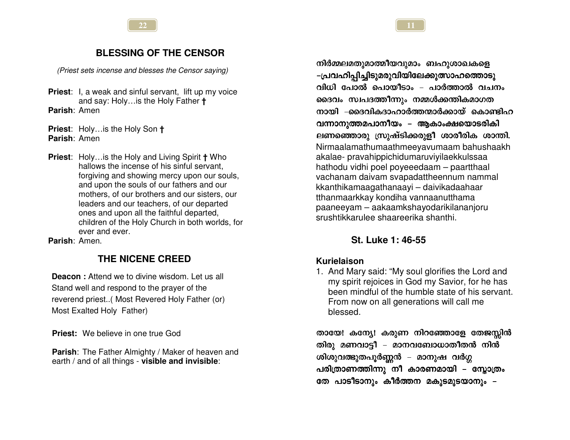# **BLESSING OF THE CENSOR**

(Priest sets incense and blesses the Censor saying)

**Priest:** I, a weak and sinful servant, lift up my voice and say: Holy... is the Holy Father + Parish: Amen

**Priest:** Holy... is the Holy Son + Parish: Amen

**Priest:** Holy... is the Holy and Living Spirit **†** Who hallows the incense of his sinful servant. forgiving and showing mercy upon our souls, and upon the souls of our fathers and our mothers, of our brothers and our sisters, our leaders and our teachers, of our departed ones and upon all the faithful departed. children of the Holy Church in both worlds, for ever and ever.

Parish: Amen.

# THE NICENE CREED

**Deacon:** Attend we to divine wisdom. Let us all Stand well and respond to the prayer of the reverend priest..( Most Revered Holy Father (or) Most Exalted Holy Father)

Priest: We believe in one true God

Parish: The Father Almighty / Maker of heaven and earth / and of all things - visible and invisible:

നിർമ്മലമതുമാത്മീയവുമാം ബഹുശാഖകളെ -പ്രവഹിപ്പിച്ചിടുമരുവിയിലേക്കുത്സാഹത്തൊടു വിധി പോൽ പൊയീടാം – പാർത്താൽ വചനം ദൈവം സ്വപദത്തീന്നും നമ്മൾക്കന്തികമാഗത നായി –ദൈവികദാഹാർത്തന്മാർക്കായ് കൊണ്ടിഹ വന്നാനുത്തമപാനീയം – ആകാംക്ഷയൊടരികി ലണഞ്ഞൊരു സ്രുഷ്ടിക്കരുളീ ശാരീരിക ശാന്തി. Nirmaalamathumaathmeeyavumaam bahushaakh akalae- pravahippichidumaruviyilaekkulssaa hathodu vidhi poel poyeeedaam - paartthaal vachanam daivam svapadattheennum nammal kkanthikamaagathanaayi - daivikadaahaar tthanmaarkkay kondiha vannaanutthama paaneeyam - aakaamkshayodarikilananjoru srushtikkarulee shaareerika shanthi.

# St. Luke 1: 46-55

#### Kurielaison

1. And Mary said: "My soul glorifies the Lord and my spirit rejoices in God my Savior, for he has been mindful of the humble state of his servant. From now on all generations will call me blessed.

തായേ! കന്യേ! കരുണ നിറഞ്ഞോളേ തേജസ്സിൻ തിരു മണവാട്ടീ – മാനവബോധാതീതൻ നിൻ ശിശുവത്ഭുതപൂർണ്ണൻ – മാനുഷ വർഗ്ഗ പരിത്രാണത്തിന്നു നീ കാരണമായി – സ്കോത്രം തേ പാടീടാനും കീർത്തന മകുടമുടയാനും –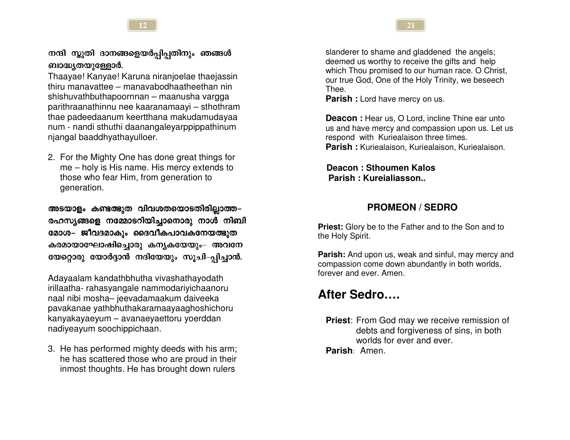# നന്ദി സ്കുതി ദാനങ്ങളെയർപ്പിപ്പതിനും ഞങ്ങൾ ബാദ്ധ്യതയുള്ളോർ.

Thaayae! Kanyae! Karuna niranjoelae thaejassin thiru manavattee – manavabodhaatheethan nin shishuvathbuthapoornnan – maanusha vargga parithraanathinnu nee kaaranamaayi - sthothram thae padeedaanum keertthana makudamudayaa num - nandi sthuthi daanangaleyarppippathinum njangal baaddhyathayulloer.

2. For the Mighty One has done great things for me – holy is His name. His mercy extends to those who fear Him, from generation to generation.

അടയാളം കണ്ടത്ഭുത വിവശതയൊടതിരില്ലാത്ത-രഹസ്യങ്ങളെ നമ്മോടറിയിച്ചാനൊരു നാൾ നിബി മോശ– ജീവദമാകും ദൈവീകപാവകനേയത്ഭുത കരമായാഘോഷിച്ചൊരു കന്യകയേയും– അവനേ യേറ്റൊരു യോർദ്ദാൻ നദിയേയും സൂചി–പ്പിച്ചാൻ.

Adayaalam kandathbhutha vivashathayodath irillaatha- rahasyangale nammodariyichaanoru naal nibi mosha- jeevadamaakum daiveeka pavakanae yathbhuthakaramaayaaghoshichoru kanyakayaeyum - avanaeyaettoru yoerddan nadiveavum soochippichaan.

3. He has performed mighty deeds with his arm; he has scattered those who are proud in their inmost thoughts. He has brought down rulers

slanderer to shame and gladdened the angels; deemed us worthy to receive the gifts and help which Thou promised to our human race. O Christ. our true God, One of the Holy Trinity, we beseech Thee.

**Parish:** Lord have mercy on us.

**Deacon:** Hear us. O Lord. incline Thine ear unto us and have mercy and compassion upon us. Let us respond with Kuriealaison three times. Parish: Kuriealaison, Kuriealaison, Kuriealaison.

Deacon: Sthoumen Kalos Parish: Kurejaliasson...

# **PROMEON / SEDRO**

**Priest:** Glory be to the Father and to the Son and to the Holy Spirit.

Parish: And upon us, weak and sinful, may mercy and compassion come down abundantly in both worlds, forever and ever. Amen.

# After Sedro....

**Priest:** From God may we receive remission of debts and forgiveness of sins, in both worlds for ever and ever. Parish: Amen.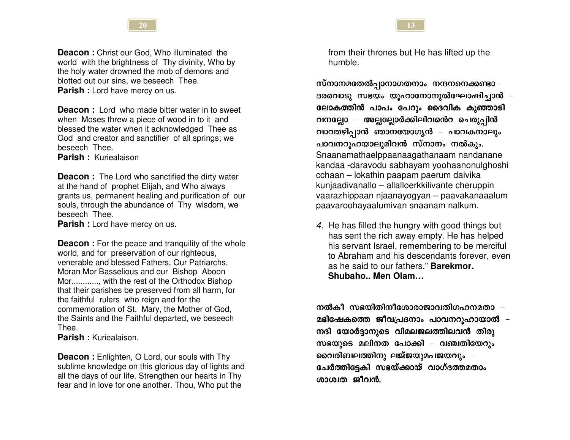**Deacon:** Christ our God, Who illuminated the world with the brightness of Thy divinity, Who by the holy water drowned the mob of demons and blotted out our sins, we beseech Thee. Parish : Lord have mercy on us.

**Deacon:** Lord, who made bitter water in to sweet when Moses threw a piece of wood in to it and blessed the water when it acknowledged Thee as God and creator and sanctifier of all springs; we beseech Thee.

Parish: Kuriealaison

**Deacon:** The Lord who sanctified the dirty water at the hand of prophet Elijah, and Who always grants us, permanent healing and purification of our souls, through the abundance of Thy wisdom, we beseech Thee.

**Parish:** Lord have mercy on us.

**Deacon:** For the peace and tranquility of the whole world, and for preservation of our righteous, venerable and blessed Fathers, Our Patriarchs, Moran Mor Basselious and our Bishop Aboon Mor............, with the rest of the Orthodox Bishop that their parishes be preserved from all harm, for the faithful rulers who reign and for the commemoration of St. Mary, the Mother of God, the Saints and the Faithful departed, we beseech Thee.

**Parish:** Kuriealaison.

**Deacon:** Enlighten, O Lord, our souls with Thy sublime knowledge on this glorious day of lights and all the days of our life. Strengthen our hearts in Thy fear and in love for one another. Thou, Who put the

from their thrones but He has lifted up the humble.

സ്നാനമതേൽപ്പാനാഗതനാം നന്ദനനെക്കണ്ടാ– ദരവൊടു സഭയം യുഹാനോനുൽഘോഷിച്ചാൻ – ലോകത്തിൻ പാപം പേറും ദൈവിക കുഞ്ഞാടി വനല്ലോ – അല്ലല്ലോർക്കിലിവന്റെ ചെരുപ്പിൻ വാറതഴിപ്പാൻ ഞാനയോഗൃൻ – പാവകനാലും പാവനറുഹയാലുമിവൻ സ്നാനം നൽകും. Snaanamathaelppaanaaqathanaam nandanane kandaa -daravodu sabhayam yoohaanonulghoshi cchaan – lokathin paapam paerum daivika kunjaadivanallo - allalloerkkilivante cheruppin vaarazhippaan niaanayogyan - paavakanaaalum paavaroohayaalumivan snaanam nalkum.

4. He has filled the hungry with good things but has sent the rich away empty. He has helped his servant Israel, remembering to be merciful to Abraham and his descendants forever, even as he said to our fathers." Barekmor. Shubaho.. Men Olam...

നൽകീ സഭയിതിനീശോരാജാവതിഗഹനമതാ – മഭിഷേകത്തെ ജീവപ്രദനാം പാവനറുഹായാൽ – നദി യോർദ്ദാനുടെ വിമലജലത്തിലവൻ തിരു സഭയുടെ മലിനത പോക്കി – വഞ്ചതിയേറും വൈരിബലത്തിനു ലജ്ജയുമപജയവും -ചേർത്തിട്ടേകി സഭയ്ക്കായ് വാഗ്ദത്തമതാം ശാശ്വത ജീവൻ.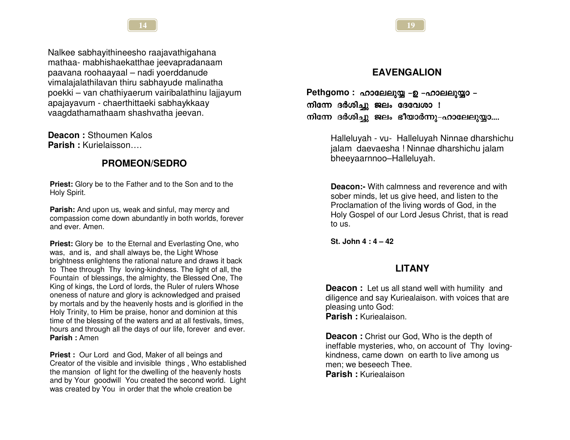

Nalkee sabhayithineesho raajavathigahana mathaa- mabhishaekatthae jeevapradanaam paavana roohaayaal - nadi yoerddanude vimalajalathilavan thiru sabhayude malinatha poekki – van chathiyaerum vairibalathinu lajjayum apajayayum - chaerthittaeki sabhaykkaay vaagdathamathaam shashvatha jeevan.

Deacon: Sthoumen Kalos Parish: Kurielaisson....

# **PROMEON/SEDRO**

**Priest:** Glory be to the Father and to the Son and to the Holy Spirit.

**Parish:** And upon us, weak and sinful, may mercy and compassion come down abundantly in both worlds, forever and ever. Amen.

**Priest:** Glory be to the Eternal and Everlasting One, who was, and is, and shall always be, the Light Whose brightness enlightens the rational nature and draws it back to Thee through Thy loving-kindness. The light of all, the Fountain of blessings, the almighty, the Blessed One, The King of kings, the Lord of lords, the Ruler of rulers Whose oneness of nature and glory is acknowledged and praised by mortals and by the heavenly hosts and is glorified in the Holy Trinity, to Him be praise, honor and dominion at this time of the blessing of the waters and at all festivals, times, hours and through all the days of our life, forever and ever. Parish: Amen

**Priest:** Our Lord and God, Maker of all beings and Creator of the visible and invisible things, Who established the mansion of light for the dwelling of the heavenly hosts and by Your goodwill You created the second world. Light was created by You in order that the whole creation be

# **EAVENGALION**

Pethgomo: ഹാലേലുയ്യ -ഉ -ഹാലലുയ്യാ -നിന്നേ ദർശിച്ചു ജലം ദേവേശാ ! നിന്നേ ദർശിച്ചു ജലം ഭീയാർന്നു-ഹാലേലുയ്യാ....

> Halleluyah - vu- Halleluyah Ninnae dharshichu jalam daevaesha ! Ninnae dharshichu jalam bheeyaarnnoo-Halleluyah.

**Deacon:-** With calmness and reverence and with sober minds, let us give heed, and listen to the Proclamation of the living words of God, in the Holy Gospel of our Lord Jesus Christ, that is read to us.

St. John  $4:4-42$ 

#### **LITANY**

**Deacon:** Let us all stand well with humility and diligence and say Kuriealaison. with voices that are pleasing unto God: Parish: Kuriealaison

**Deacon:** Christ our God, Who is the depth of ineffable mysteries, who, on account of Thy lovingkindness, came down on earth to live among us men: we beseech Thee. **Parish:** Kuriealaison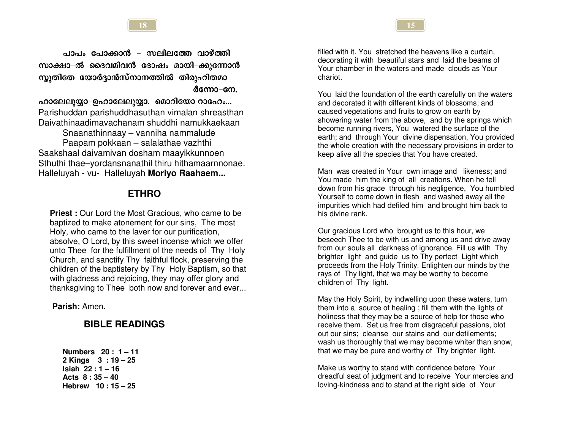പാപം പോക്കാൻ – സലിലത്തേ വാഴ്ത്തി സാക്ഷാ–ൽ ദൈവമിവൻ ദോഷം മായി–ക്കുന്നോൻ സ്കുതിതേ–യോർദ്ദാൻസ്നാനത്തിൽ തിരൂഹിതമാ– ർന്നോ–നേ.

#### ഹാലേലുയ്യാ-ഉഹാലേലുയ്യാ. മൊറിയോ റാഹേം...

Parishuddan parishuddhasuthan vimalan shreasthan Daivathinaadimavachanam shuddhi namukkaekaan Snaanathinnaav – vanniha nammalude

Paapam pokkaan – salalathae vazhthi Saakshaal daivamivan dosham maayikkunnoen Sthuthi thae-vordansnanathil thiru hithamaarnnonae. Halleluyah - vu- Halleluyah Moriyo Raahaem...

#### **ETHRO**

**Priest:** Our Lord the Most Gracious, who came to be baptized to make atonement for our sins. The most Holy, who came to the laver for our purification, absolve, O Lord, by this sweet incense which we offer unto Thee for the fulfillment of the needs of Thy Holy Church, and sanctify Thy faithful flock, preserving the children of the baptistery by Thy Holy Baptism, so that with gladness and rejoicing, they may offer glory and thanksgiving to Thee both now and forever and ever...

Parish: Amen.

### **BIBLE READINGS**

Numbers  $20:1 - 11$ 2 Kings  $3:19-25$ Isiah  $22:1 - 16$ Acts  $8:35-40$ Hebrew  $10:15-25$ 

filled with it. You stretched the heavens like a curtain. decorating it with beautiful stars and laid the beams of Your chamber in the waters and made clouds as Your chariot

You laid the foundation of the earth carefully on the waters and decorated it with different kinds of blossoms; and caused vegetations and fruits to grow on earth by showering water from the above, and by the springs which become running rivers. You watered the surface of the earth; and through Your divine dispensation, You provided the whole creation with the necessary provisions in order to keep alive all the species that You have created.

Man was created in Your own image and likeness; and You made him the king of all creations. When he fell down from his grace through his negligence, You humbled Yourself to come down in flesh and washed away all the impurities which had defiled him and brought him back to his divine rank.

Our gracious Lord who brought us to this hour, we beseech Thee to be with us and among us and drive away from our souls all darkness of ignorance. Fill us with Thy brighter light and guide us to Thy perfect Light which proceeds from the Holy Trinity. Enlighten our minds by the rays of Thy light, that we may be worthy to become children of Thy light.

May the Holy Spirit, by indwelling upon these waters, turn them into a source of healing ; fill them with the lights of holiness that they may be a source of help for those who receive them. Set us free from disgraceful passions, blot out our sins: cleanse our stains and our defilements: wash us thoroughly that we may become whiter than snow, that we may be pure and worthy of Thy brighter light.

Make us worthy to stand with confidence before Your dreadful seat of judgment and to receive Your mercies and loving-kindness and to stand at the right side of Your